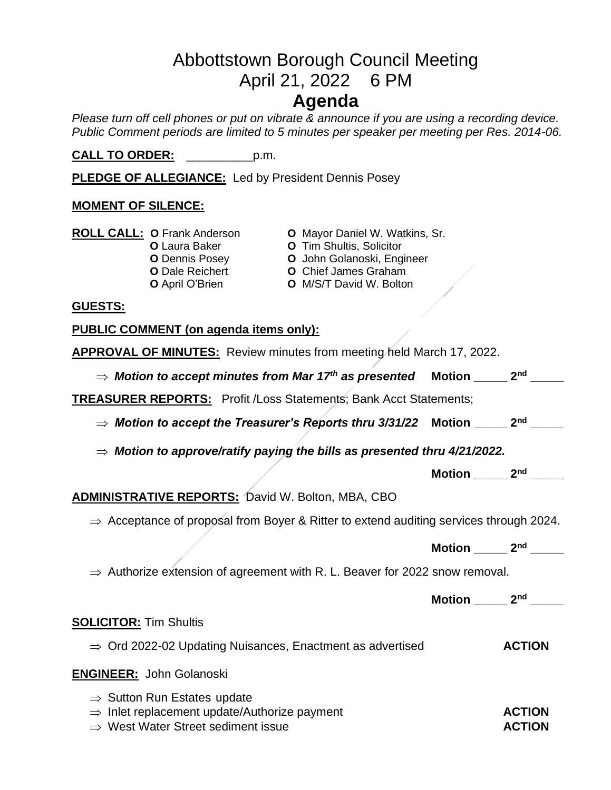# Abbottstown Borough Council Meeting April 21, 2022 6 PM **Agenda**

*Please turn off cell phones or put on vibrate & announce if you are using a recording device. Public Comment periods are limited to 5 minutes per speaker per meeting per Res. 2014-06.* 

**CALL TO ORDER:** \_\_\_\_\_\_\_\_\_\_p.m.

**PLEDGE OF ALLEGIANCE:** Led by President Dennis Posey

### **MOMENT OF SILENCE:**

| <b>ROLL CALL: O Frank Anderson</b> |
|------------------------------------|
|                                    |

- -
	-
- **O** Mayor Daniel W. Watkins, Sr.
- **O** Laura Baker **O** Tim Shultis, Solicitor
- **O** Dennis Posey **O** John Golanoski, Engineer
- **O** Dale Reichert **O** Chief James Graham<br> **O** April O'Brien **O** M/S/T David W. Boltor
	- **O** M/S/T David W. Bolton

#### **GUESTS:**

**PUBLIC COMMENT (on agenda items only):**

| <b>APPROVAL OF MINUTES:</b> Review minutes from meeting held March 17, 2022.                       |                                                 |
|----------------------------------------------------------------------------------------------------|-------------------------------------------------|
| $\Rightarrow$ Motion to accept minutes from Mar 17th as presented Motion _____ 2nd ___             |                                                 |
| <b>TREASURER REPORTS:</b> Profit /Loss Statements; Bank Acct Statements;                           |                                                 |
| $\Rightarrow$ Motion to accept the Treasurer's Reports thru 3/31/22 Motion _____ 2nd ___           |                                                 |
| $\Rightarrow$ Motion to approve/ratify paying the bills as presented thru 4/21/2022.               |                                                 |
|                                                                                                    | Motion $\frac{2^{nd}}{1^{nd}}$                  |
| <b>ADMINISTRATIVE REPORTS: David W. Bolton, MBA, CBO</b>                                           |                                                 |
| $\Rightarrow$ Acceptance of proposal from Boyer & Ritter to extend auditing services through 2024. |                                                 |
|                                                                                                    |                                                 |
|                                                                                                    | Motion $2nd$ $2nd$                              |
| $\Rightarrow$ Authorize extension of agreement with R. L. Beaver for 2022 snow removal.            |                                                 |
|                                                                                                    | Motion $\_\_\_\_$ 2 <sup>nd</sup> $\_\_\_\_\_\$ |
| <b>SOLICITOR: Tim Shultis</b>                                                                      |                                                 |
| $\Rightarrow$ Ord 2022-02 Updating Nuisances, Enactment as advertised                              | <b>ACTION</b>                                   |
| <b>ENGINEER:</b> John Golanoski                                                                    |                                                 |